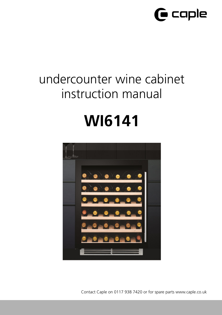

# undercounter wine cabinet instruction manual

# **WI6141**



Contact Caple on 0117 938 7420 or for spare parts www.caple.co.uk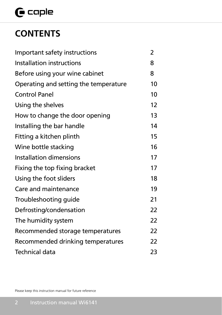# $\mathbf \Theta$  caple

# **CONTENTS**

| Important safety instructions         | 2  |
|---------------------------------------|----|
| Installation instructions             | 8  |
| Before using your wine cabinet        | 8  |
| Operating and setting the temperature | 10 |
| <b>Control Panel</b>                  | 10 |
| Using the shelves                     | 12 |
| How to change the door opening        | 13 |
| Installing the bar handle             | 14 |
| Fitting a kitchen plinth              | 15 |
| Wine bottle stacking                  | 16 |
| Installation dimensions               | 17 |
| Fixing the top fixing bracket         | 17 |
| Using the foot sliders                |    |
| Care and maintenance                  | 19 |
| Troubleshooting guide                 | 21 |
| Defrosting/condensation               | 22 |
| The humidity system                   | 22 |
| Recommended storage temperatures      | 22 |
| Recommended drinking temperatures     | 22 |
| Technical data                        | 23 |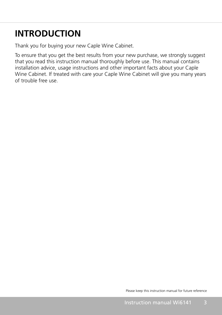# **INTRODUCTION**

Thank you for buying your new Caple Wine Cabinet.

To ensure that you get the best results from your new purchase, we strongly suggest that you read this instruction manual thoroughly before use. This manual contains installation advice, usage instructions and other important facts about your Caple Wine Cabinet. If treated with care your Caple Wine Cabinet will give you many years of trouble free use.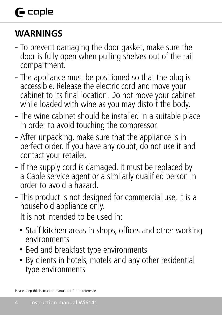# **G** caple

# **WARNINGS**

- To prevent damaging the door gasket, make sure the door is fully open when pulling shelves out of the rail compartment.
- The appliance must be positioned so that the plug is accessible. Release the electric cord and move your cabinet to its final location. Do not move your cabinet while loaded with wine as you may distort the body.
- The wine cabinet should be installed in a suitable place in order to avoid touching the compressor.
- After unpacking, make sure that the appliance is in perfect order. If you have any doubt, do not use it and contact your retailer.
- If the supply cord is damaged, it must be replaced by a Caple service agent or a similarly qualified person in order to avoid a hazard.
- This product is not designed for commercial use, it is a household appliance only.

It is not intended to be used in:

- Staff kitchen areas in shops, offices and other working environments
- Bed and breakfast type environments
- By clients in hotels, motels and any other residential type environments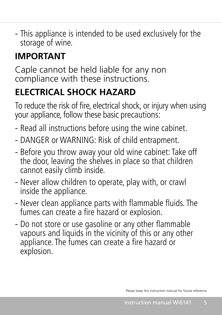- This appliance is intended to be used exclusively for the storage of wine.

# **IMPORTANT**

Caple cannot be held liable for any non compliance with these instructions.

# **ELECTRICAL SHOCK HAZARD**

To reduce the risk of fire, electrical shock, or injury when using your appliance, follow these basic precautions:

- Read all instructions before using the wine cabinet.
- DANGER or WARNING: Risk of child entrapment.
- Before you throw away your old wine cabinet: Take off the door, leaving the shelves in place so that children cannot easily climb inside.
- Never allow children to operate, play with, or crawl inside the appliance.
- Never clean appliance parts with flammable fluids. The fumes can create a fire hazard or explosion.
- Do not store or use gasoline or any other flammable vapours and liquids in the vicinity of this or any other appliance. The fumes can create a fire hazard or explosion.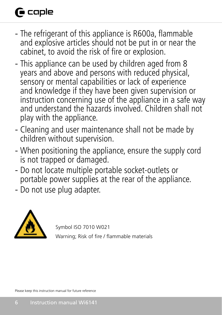# **G** caple

- The refrigerant of this appliance is R600a, flammable and explosive articles should not be put in or near the cabinet, to avoid the risk of fire or explosion.
- This appliance can be used by children aged from 8 years and above and persons with reduced physical, sensory or mental capabilities or lack of experience and knowledge if they have been given supervision or instruction concerning use of the appliance in a safe way and understand the hazards involved. Children shall not play with the appliance.
- Cleaning and user maintenance shall not be made by children without supervision.
- When positioning the appliance, ensure the supply cord is not trapped or damaged.
- Do not locate multiple portable socket-outlets or portable power supplies at the rear of the appliance.
- Do not use plug adapter.



Symbol ISO 7010 W021

Warning; Risk of fire / flammable materials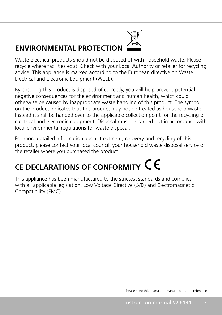# **ENVIRONMENTAL PROTECTION**



Waste electrical products should not be disposed of with household waste. Please recycle where facilities exist. Check with your Local Authority or retailer for recycling advice. This appliance is marked according to the European directive on Waste Electrical and Electronic Equipment (WEEE).

By ensuring this product is disposed of correctly, you will help prevent potential negative consequences for the environment and human health, which could otherwise be caused by inappropriate waste handling of this product. The symbol on the product indicates that this product may not be treated as household waste. Instead it shall be handed over to the applicable collection point for the recycling of electrical and electronic equipment. Disposal must be carried out in accordance with local environmental regulations for waste disposal.

For more detailed information about treatment, recovery and recycling of this product, please contact your local council, your household waste disposal service or the retailer where you purchased the product

# **CE DECLARATIONS OF CONFORMITY**

This appliance has been manufactured to the strictest standards and complies with all applicable legislation, Low Voltage Directive (LVD) and Electromagnetic Compatibility (EMC).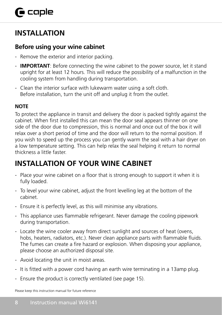# **INSTALLATION**

#### **Before using your wine cabinet**

- Remove the exterior and interior packing.
- **IMPORTANT**: Before connecting the wine cabinet to the power source, let it stand upright for at least 12 hours. This will reduce the possibility of a malfunction in the cooling system from handling during transportation.
- Clean the interior surface with lukewarm water using a soft cloth. Before installation, turn the unit off and unplug it from the outlet.

#### **NOTE**

To protect the appliance in transit and delivery the door is packed tightly against the cabinet. When first installed this can mean the door seal appears thinner on one side of the door due to compression, this is normal and once out of the box it will relax over a short period of time and the door will return to the normal position. If you wish to speed up the process you can gently warm the seal with a hair dryer on a low temperature setting. This can help relax the seal helping it return to normal thickness a little faster.

# **INSTALLATION OF YOUR WINE CABINET**

- Place your wine cabinet on a floor that is strong enough to support it when it is fully loaded.
- To level your wine cabinet, adjust the front levelling leg at the bottom of the cabinet.
- Ensure it is perfectly level, as this will minimise any vibrations.
- This appliance uses flammable refrigerant. Never damage the cooling pipework during transportation.
- Locate the wine cooler away from direct sunlight and sources of heat (ovens, hobs, heaters, radiators, etc.). Never clean appliance parts with flammable fluids. The fumes can create a fire hazard or explosion. When disposing your appliance, please choose an authorized disposal site.
- Avoid locating the unit in moist areas.
- It is fitted with a power cord having an earth wire terminating in a 13amp plug.
- Ensure the product is correctly ventilated (see page 15).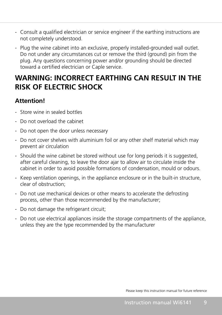- Consult a qualified electrician or service engineer if the earthing instructions are not completely understood.
- Plug the wine cabinet into an exclusive, properly installed-grounded wall outlet. Do not under any circumstances cut or remove the third (ground) pin from the plug. Any questions concerning power and/or grounding should be directed toward a certified electrician or Caple service.

## **WARNING: INCORRECT EARTHING CAN RESULT IN THE RISK OF ELECTRIC SHOCK**

#### **Attention!**

- Store wine in sealed bottles
- Do not overload the cabinet
- Do not open the door unless necessary
- Do not cover shelves with aluminium foil or any other shelf material which may prevent air circulation
- Should the wine cabinet be stored without use for long periods it is suggested, after careful cleaning, to leave the door ajar to allow air to circulate inside the cabinet in order to avoid possible formations of condensation, mould or odours.
- Keep ventilation openings, in the appliance enclosure or in the built-in structure, clear of obstruction;
- Do not use mechanical devices or other means to accelerate the defrosting process, other than those recommended by the manufacturer;
- Do not damage the refrigerant circuit;
- Do not use electrical appliances inside the storage compartments of the appliance, unless they are the type recommended by the manufacturer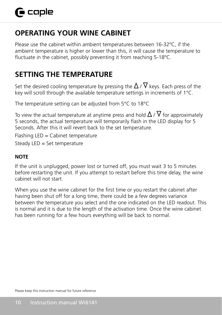# **OPERATING YOUR WINE CABINET**

Please use the cabinet within ambient temperatures between 16-32ºC, if the ambient temperature is higher or lower than this, it will cause the temperature to fluctuate in the cabinet, possibly preventing it from reaching 5-18ºC.

# **SETTING THE TEMPERATURE**

Set the desired cooling temperature by pressing the  $\Delta$  /  $\nabla$  keys. Each press of the key will scroll through the available temperature settings in increments of 1°C.

The temperature setting can be adjusted from 5°C to 18°C

To view the actual temperature at anytime press and hold  $\Delta$  /  $\nabla$  for approximately 5 seconds, the actual temperature will temporarily flash in the LED display for 5 Seconds. After this it will revert back to the set temperature.

Flashing LED = Cabinet temperature

Steady LED = Set temperature

#### **NOTE**

If the unit is unplugged, power lost or turned off, you must wait 3 to 5 minutes before restarting the unit. If you attempt to restart before this time delay, the wine cabinet will not start.

When you use the wine cabinet for the first time or you restart the cabinet after having been shut off for a long time, there could be a few degrees variance between the temperature you select and the one indicated on the LED readout. This is normal and it is due to the length of the activation time. Once the wine cabinet has been running for a few hours everything will be back to normal.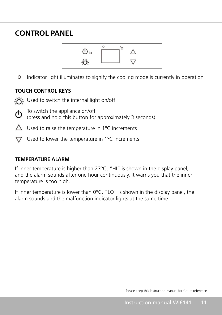### **CONTROL PANEL**



Indicator light illuminates to signify the cooling mode is currently in operation  $^{\circ}$ 

#### **TOUCH CONTROL KEYS**

- Used to switch the internal light on/off
- To switch the appliance on/off (ካ
	- (press and hold this button for approximately 3 seconds)
- $\triangle$  Used to raise the temperature in 1°C increments
- $\nabla$  Used to lower the temperature in 1°C increments

### **TEMPERATURE ALARM** .

Steady LED = Set temperature

If inner temperature is higher than 23°C, "HI" is shown in the display panel, and the alarm sounds after one hour continuously. It warns you that the inner temperature is too high.

If inner temperature is lower than 0°C, "LO" is shown in the display panel, the alarm sounds and the malfunction indicator lights at the same time.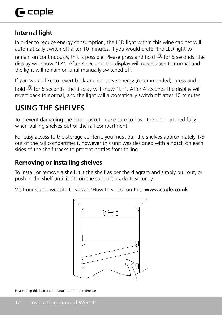#### **Internal light**

In order to reduce energy consumption, the LED light within this wine cabinet will automatically switch off after 10 minutes. If you would prefer the LED light to

remain on continuously, this is possible. Please press and hold for 5 seconds, the display will show "LP". After 4 seconds the display will revert back to normal and the light will remain on until manually switched off.

If you would like to revert back and conserve energy (recommended), press and hold <sup>303</sup> for 5 seconds, the display will show "LF". After 4 seconds the display will revert back to normal, and the light will automatically switch off after 10 minutes.

# **USING THE SHELVES**

To prevent damaging the door gasket, make sure to have the door opened fully  $\mathfrak{r}.$  sounds warns you want to be a set of  $\mathfrak{r}.$ when pulling shelves out of the rail compartment.

For easy access to the storage content, you must pull the shelves approximately 1/3 out of the rail compartment, however this unit was designed with a notch on each sides of the shelf tracks to prevent bottles from falling.

### the **Removing or installing shelves**

To install or remove a shelf, tilt the shelf as per the diagram and simply pull out, or push in the shelf until it sits on the support brackets securely.

Visit our Caple website to view a 'How to video' on this. **www.caple.co.uk**

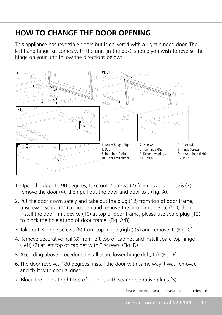# **HOW TO CHANGE THE DOOR OPENING**

This appliance has reversible doors but is delivered with a right hinged door. The left hand hinge kit comes with the unit (in the box), should you wish to reverse the hinge on your unit follow the directions below:



- 1. Open the door to 90 degrees, take out 2 screws (2) from lower door  $\sim$  (3), remove the door (3), remove the door (4), remove the door (4), remove the door (4), remove the door (4), remove the door (4), remove the door 1. Open the door to 90 degrees, take out 2 screws (2) from lower door axis (3), remove the door (4), then pull out the door and door axis (Fig. A).
- 2. Put the door down safely and take out the plug (12) from top of door frame, unscrew 1 screw (11) at bottom and remove the door limit device (10), then install the door limit device (10) at top of door frame, please use spare plug (12)  $\frac{1}{2}$  scale and  $\frac{1}{2}$  screws. ( $\frac{1}{2}$ to block the hole at top of door frame. (Fig. A/B)
- 3. Take out 3 bings crows (6) from top bings (right)  $\langle E \rangle$  and remove it  $\langle E \rangle$  of 3. Take out 3 hinge screws (6) from top hinge (right) (5) and remove it. (Fig. C)
- 4. Remove decorative nail (8) from left top of cabinet and install spare top hinge (Left) (7) at left top of cabinet with 3 screws. (Fig. D)
	- 5. According above procedure, install spare lower hinge (left) (9). (Fig. E)
	- 6. The door revolves 180 degrees, install the door with same way it was removed and fix it with door aligned.
	- 7. Block the hole at right top of cabinet with spare decorative plugs (8).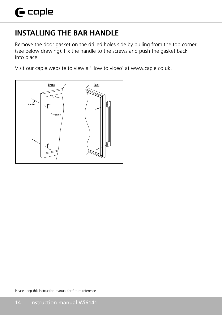# **INSTALLING THE BAR HANDLE**

Remove the door gasket on the drilled holes side by pulling from the top corner. (see below drawing). Fix the handle to the screws and push the gasket back into place.

Visit our caple website to view a 'How to video' at www.caple.co.uk.

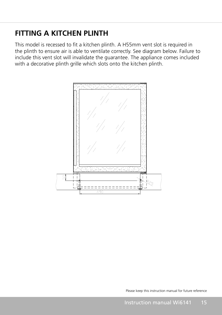## **FITTING A KITCHEN PLINTH**

This model is recessed to fit a kitchen plinth. A H55mm vent slot is required in the plinth to ensure air is able to ventilate correctly. See diagram below. Failure to include this vent slot will invalidate the guarantee. The appliance comes included with a decorative plinth grille which slots onto the kitchen plinth. guarantee. The appliance comes included with a decorative plinth grille which slots onto the kitchen

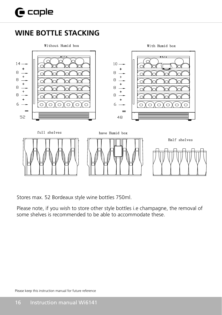### **WINE BOTTLE STACKING**



Stores max. 52 Bordeaux style wine bottles 750ml.

Please note, if you wish to store other style bottles i.e champagne, the removal of some shelves is recommended to be able to accommodate these.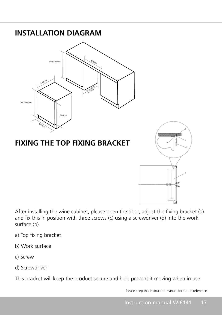

After installing the wine cabinet, please open the door, adjust the fixing bracket (a) and fix this in position with three screws (c) using a screwdriver (d) into the work surface (b).

- a) Top fixing bracket
- b) Work surface
- c) Screw
- d) Screwdriver

This bracket will keep the product secure and help prevent it moving when in use.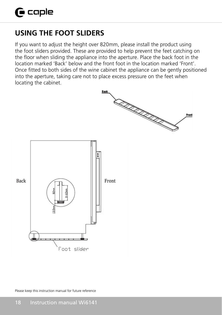# **USING THE FOOT SLIDERS (!a ccple**

If you want to adjust the height over 820mm, please install the product using If you want to adjust the height over 820mm, please install the product using the foot sliders provided. These are provided to help prevent the feet catching on the floor when sliding the appliance into the aperture. Place the back foot in the the floor when sliding the appliance into the aperture. Place the back foot in the location marked 'Back' below and the front foot in the location marked 'Front'. Once fitted to both sides of the wine cabinet the appliance can be gently positioned into the aperture, taking care not to place excess pressure on the feet when locating the cabinet. location marked 'Back' below and the front foot in the location marked 'Front' The the applicate, taking care not to piace excess pressare on the red

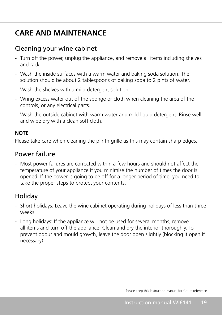# **CARE AND MAINTENANCE**

#### Cleaning your wine cabinet

- Turn off the power, unplug the appliance, and remove all items including shelves and rack.
- Wash the inside surfaces with a warm water and baking soda solution. The solution should be about 2 tablespoons of baking soda to 2 pints of water.
- Wash the shelves with a mild detergent solution.
- Wring excess water out of the sponge or cloth when cleaning the area of the controls, or any electrical parts.
- Wash the outside cabinet with warm water and mild liquid detergent. Rinse well and wipe dry with a clean soft cloth.

#### **NOTE**

Please take care when cleaning the plinth grille as this may contain sharp edges.

#### Power failure

 - Most power failures are corrected within a few hours and should not affect the temperature of your appliance if you minimise the number of times the door is opened. If the power is going to be off for a longer period of time, you need to take the proper steps to protect your contents.

### **Holiday**

- Short holidays: Leave the wine cabinet operating during holidays of less than three weeks.
- Long holidays: If the appliance will not be used for several months, remove all items and turn off the appliance. Clean and dry the interior thoroughly. To prevent odour and mould growth, leave the door open slightly (blocking it open if necessary).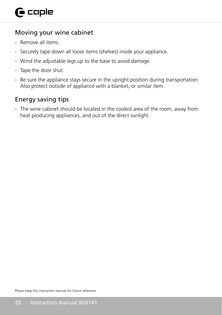#### Moving your wine cabinet

- Remove all items.
- Securely tape down all loose items (shelves) inside your appliance.
- Wind the adjustable legs up to the base to avoid damage.
- Tape the door shut.
- Be sure the appliance stays secure in the upright position during transportation. Also protect outside of appliance with a blanket, or similar item.

#### Energy saving tips

 - The wine cabinet should be located in the coolest area of the room, away from heat producing appliances, and out of the direct sunlight.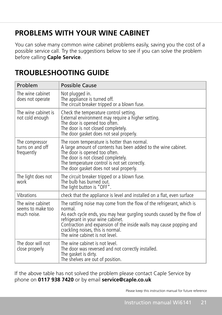# **PROBLEMS WITH YOUR WINE CABINET**

You can solve many common wine cabinet problems easily, saving you the cost of a possible service call. Try the suggestions below to see if you can solve the problem before calling **Caple Service**.

| Problem                                              | Possible Cause                                                                                                                                                                                                                                                                                                                                 |
|------------------------------------------------------|------------------------------------------------------------------------------------------------------------------------------------------------------------------------------------------------------------------------------------------------------------------------------------------------------------------------------------------------|
| The wine cabinet<br>does not operate                 | Not plugged in.<br>The appliance is turned off.<br>The circuit breaker tripped or a blown fuse.                                                                                                                                                                                                                                                |
| The wine cabinet is<br>not cold enough               | Check the temperature control setting.<br>External environment may require a higher setting.<br>The door is opened too often.<br>The door is not closed completely.<br>The door gasket does not seal properly.                                                                                                                                 |
| The compressor<br>turns on and off<br>frequently     | The room temperature is hotter than normal.<br>A large amount of contents has been added to the wine cabinet.<br>The door is opened too often.<br>The door is not closed completely.<br>The temperature control is not set correctly.<br>The door gasket does not seal properly.                                                               |
| The light does not<br>work                           | The circuit breaker tripped or a blown fuse.<br>The bulb has burned out.<br>The light button is "OFF".                                                                                                                                                                                                                                         |
| Vibrations                                           | check that the appliance is level and installed on a flat, even surface                                                                                                                                                                                                                                                                        |
| The wine cabinet<br>seems to make too<br>much noise. | The rattling noise may come from the flow of the refrigerant, which is<br>normal.<br>As each cycle ends, you may hear gurgling sounds caused by the flow of<br>refrigerant in your wine cabinet.<br>Contraction and expansion of the inside walls may cause popping and<br>crackling noises, this is normal.<br>The wine cabinet is not level. |
| The door will not<br>close properly                  | The wine cabinet is not level.<br>The door was reversed and not correctly installed.<br>The gasket is dirty.<br>The shelves are out of position.                                                                                                                                                                                               |

# **TROUBLESHOOTING GUIDE**

If the above table has not solved the problem please contact Caple Service by phone on **0117 938 7420** or by email **service@caple.co.uk**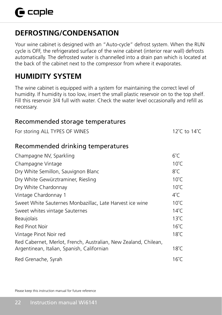## **DEFROSTING/CONDENSATION**

Your wine cabinet is designed with an "Auto-cycle" defrost system. When the RUN cycle is OFF, the refrigerated surface of the wine cabinet (interior rear wall) defrosts automatically. The defrosted water is channelled into a drain pan which is located at the back of the cabinet next to the compressor from where it evaporates.

## **HUMIDITY SYSTEM**

The wine cabinet is equipped with a system for maintaining the correct level of humidity. If humidity is too low, insert the small plastic reservoir on to the top shelf. Fill this reservoir 3/4 full with water. Check the water level occasionally and refill as necessary.

### Recommended storage temperatures For storing ALL TYPES OF WINES 12°C to 14°C Recommended drinking temperatures Champagne NV, Sparkling 6°C Champagne Vintage 10°C Dry White Semillon, Sauvignon Blanc 8°C Dry White Gewürztraminer, Riesling 10℃ Dry White Chardonnay 10°C Vintage Chardonnay 1 4°C Sweet White Sauternes Monbazillac, Late Harvest ice wine 10°C Sweet whites vintage Sauternes 14°C Beaujolais 13°C Red Pinot Noir 16°C Vintage Pinot Noir red 18°C Red Cabernet, Merlot, French, Australian, New Zealand, Chilean, Argentinean, Italian, Spanish, Californian 18°C Red Grenache, Syrah 16°C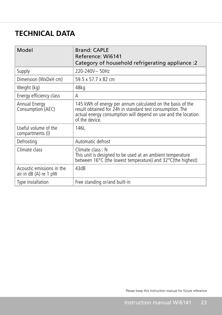# **TECHNICAL DATA**

| Model                                              | <b>Brand: CAPLE</b><br>Reference: Wi6141<br>Category of household refrigerating appliance :2                                                                                                               |
|----------------------------------------------------|------------------------------------------------------------------------------------------------------------------------------------------------------------------------------------------------------------|
| Supply                                             | $220 - 240V \sim 50Hz$                                                                                                                                                                                     |
| Dimension (WxDxH cm)                               | 59.5 x 57.7 x 82 cm                                                                                                                                                                                        |
| Weight (kg)                                        | 48kg                                                                                                                                                                                                       |
| Energy efficiency class                            | A                                                                                                                                                                                                          |
| Annual Energy<br>Consumption (AEC)                 | 145 kWh of energy per annum calculated on the basis of the<br>result obtained for 24h in standard test consumption. The<br>actual energy consumption will depend on use and the location<br>of the device. |
| Useful volume of the<br>compartments (I)           | 146L                                                                                                                                                                                                       |
| Defrosting                                         | Automatic defrost                                                                                                                                                                                          |
| Climate class                                      | Climate class: N<br>This unit is designed to be used at an ambient temperature<br>between 16°C (the lowest temperature) and 32°C(the highest)                                                              |
| Acoustic emissions in the<br>air in dB (A) re 1 pW | 43dB                                                                                                                                                                                                       |
| Type installation                                  | Free standing or/and built-in                                                                                                                                                                              |